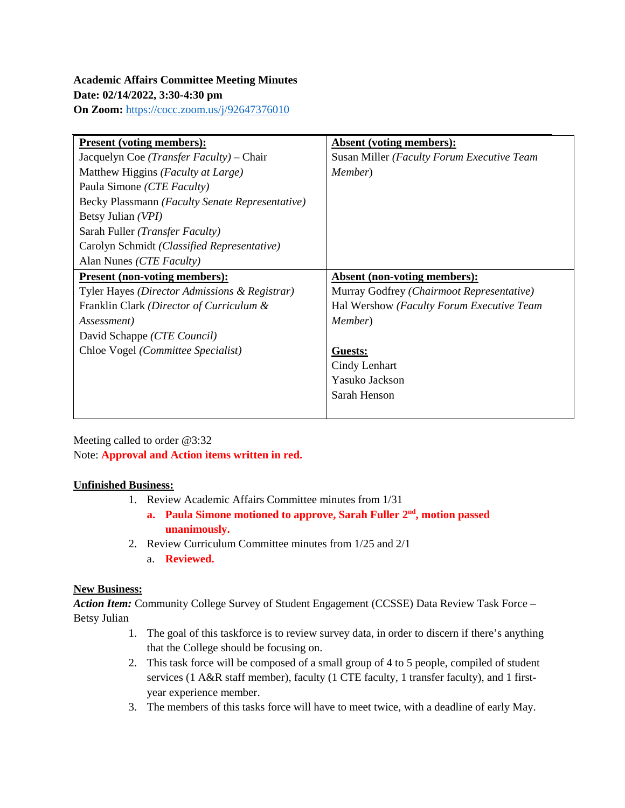**On Zoom:** <https://cocc.zoom.us/j/92647376010>

| <b>Present (voting members):</b>                  | Absent (voting members):                   |
|---------------------------------------------------|--------------------------------------------|
| Jacquelyn Coe ( <i>Transfer Faculty</i> ) – Chair | Susan Miller (Faculty Forum Executive Team |
| Matthew Higgins (Faculty at Large)                | Member)                                    |
| Paula Simone (CTE Faculty)                        |                                            |
| Becky Plassmann (Faculty Senate Representative)   |                                            |
| Betsy Julian (VPI)                                |                                            |
| Sarah Fuller (Transfer Faculty)                   |                                            |
| Carolyn Schmidt (Classified Representative)       |                                            |
| Alan Nunes (CTE Faculty)                          |                                            |
| <b>Present (non-voting members):</b>              | <b>Absent (non-voting members):</b>        |
| Tyler Hayes (Director Admissions & Registrar)     | Murray Godfrey (Chairmoot Representative)  |
| Franklin Clark (Director of Curriculum &          | Hal Wershow (Faculty Forum Executive Team  |
| <i>Assessment</i> )                               | <i>Member</i> )                            |
| David Schappe (CTE Council)                       |                                            |
| Chloe Vogel (Committee Specialist)                | <b>Guests:</b>                             |
|                                                   | Cindy Lenhart                              |
|                                                   | Yasuko Jackson                             |
|                                                   | Sarah Henson                               |
|                                                   |                                            |

Meeting called to order @3:32 Note: **Approval and Action items written in red.**

# **Unfinished Business:**

- 1. Review Academic Affairs Committee minutes from 1/31
	- **a. Paula Simone motioned to approve, Sarah Fuller 2nd, motion passed unanimously.**
- 2. Review Curriculum Committee minutes from 1/25 and 2/1
	- a. **Reviewed.**

# **New Business:**

*Action Item:* Community College Survey of Student Engagement (CCSSE) Data Review Task Force – Betsy Julian

- 1. The goal of this taskforce is to review survey data, in order to discern if there's anything that the College should be focusing on.
- 2. This task force will be composed of a small group of 4 to 5 people, compiled of student services (1 A&R staff member), faculty (1 CTE faculty, 1 transfer faculty), and 1 firstyear experience member.
- 3. The members of this tasks force will have to meet twice, with a deadline of early May.